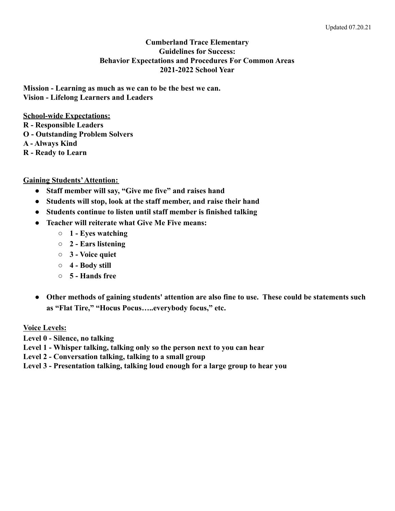#### **Cumberland Trace Elementary Guidelines for Success: Behavior Expectations and Procedures For Common Areas 2021-2022 School Year**

**Mission - Learning as much as we can to be the best we can. Vision - Lifelong Learners and Leaders**

**School-wide Expectations:**

- **R Responsible Leaders**
- **O Outstanding Problem Solvers**

**A - Always Kind**

**R - Ready to Learn**

## **Gaining Students'Attention:**

- **● Staff member will say, "Give me five" and raises hand**
- **● Students will stop, look at the staff member, and raise their hand**
- **● Students continue to listen until staff member is finished talking**
- **● Teacher will reiterate what Give Me Five means:**
	- **○ 1 Eyes watching**
	- **○ 2 Ears listening**
	- **○ 3 Voice quiet**
	- **○ 4 Body still**
	- **○ 5 Hands free**
- **● Other methods of gaining students' attention are also fine to use. These could be statements such as "Flat Tire," "Hocus Pocus…..everybody focus," etc.**

# **Voice Levels:**

**Level 0 - Silence, no talking**

**Level 1 - Whisper talking, talking only so the person next to you can hear**

**Level 2 - Conversation talking, talking to a small group**

**Level 3 - Presentation talking, talking loud enough for a large group to hear you**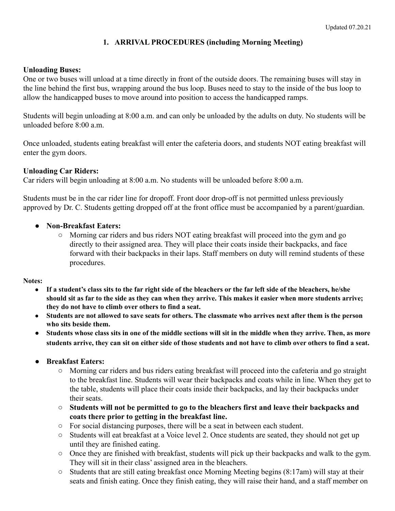# **1. ARRIVAL PROCEDURES (including Morning Meeting)**

#### **Unloading Buses:**

One or two buses will unload at a time directly in front of the outside doors. The remaining buses will stay in the line behind the first bus, wrapping around the bus loop. Buses need to stay to the inside of the bus loop to allow the handicapped buses to move around into position to access the handicapped ramps.

Students will begin unloading at 8:00 a.m. and can only be unloaded by the adults on duty. No students will be unloaded before  $8:00$  a.m.

Once unloaded, students eating breakfast will enter the cafeteria doors, and students NOT eating breakfast will enter the gym doors.

#### **Unloading Car Riders:**

Car riders will begin unloading at 8:00 a.m. No students will be unloaded before 8:00 a.m.

Students must be in the car rider line for dropoff. Front door drop-off is not permitted unless previously approved by Dr. C. Students getting dropped off at the front office must be accompanied by a parent/guardian.

#### **● Non-Breakfast Eaters:**

○ Morning car riders and bus riders NOT eating breakfast will proceed into the gym and go directly to their assigned area. They will place their coats inside their backpacks, and face forward with their backpacks in their laps. Staff members on duty will remind students of these procedures.

**Notes:**

- If a student's class sits to the far right side of the bleachers or the far left side of the bleachers, he/she should sit as far to the side as they can when they arrive. This makes it easier when more students arrive; **they do not have to climb over others to find a seat.**
- Students are not allowed to save seats for others. The classmate who arrives next after them is the person **who sits beside them.**
- Students whose class sits in one of the middle sections will sit in the middle when they arrive. Then, as more students arrive, they can sit on either side of those students and not have to climb over others to find a seat.
- **● Breakfast Eaters:**
	- Morning car riders and bus riders eating breakfast will proceed into the cafeteria and go straight to the breakfast line. Students will wear their backpacks and coats while in line. When they get to the table, students will place their coats inside their backpacks, and lay their backpacks under their seats.
	- **Students will not be permitted to go to the bleachers first and leave their backpacks and coats there prior to getting in the breakfast line.**
	- For social distancing purposes, there will be a seat in between each student.
	- Students will eat breakfast at a Voice level 2. Once students are seated, they should not get up until they are finished eating.
	- Once they are finished with breakfast, students will pick up their backpacks and walk to the gym. They will sit in their class' assigned area in the bleachers.
	- Students that are still eating breakfast once Morning Meeting begins (8:17am) will stay at their seats and finish eating. Once they finish eating, they will raise their hand, and a staff member on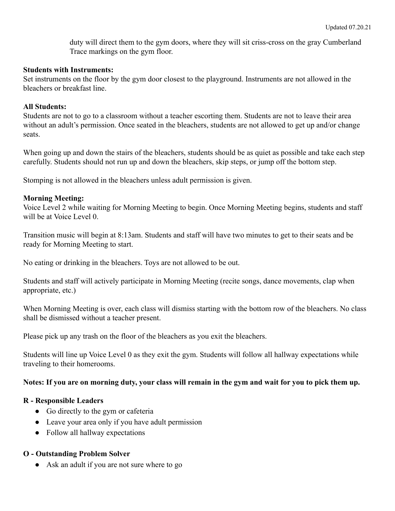duty will direct them to the gym doors, where they will sit criss-cross on the gray Cumberland Trace markings on the gym floor.

#### **Students with Instruments:**

Set instruments on the floor by the gym door closest to the playground. Instruments are not allowed in the bleachers or breakfast line.

#### **All Students:**

Students are not to go to a classroom without a teacher escorting them. Students are not to leave their area without an adult's permission. Once seated in the bleachers, students are not allowed to get up and/or change seats.

When going up and down the stairs of the bleachers, students should be as quiet as possible and take each step carefully. Students should not run up and down the bleachers, skip steps, or jump off the bottom step.

Stomping is not allowed in the bleachers unless adult permission is given.

### **Morning Meeting:**

Voice Level 2 while waiting for Morning Meeting to begin. Once Morning Meeting begins, students and staff will be at Voice Level 0.

Transition music will begin at 8:13am. Students and staff will have two minutes to get to their seats and be ready for Morning Meeting to start.

No eating or drinking in the bleachers. Toys are not allowed to be out.

Students and staff will actively participate in Morning Meeting (recite songs, dance movements, clap when appropriate, etc.)

When Morning Meeting is over, each class will dismiss starting with the bottom row of the bleachers. No class shall be dismissed without a teacher present.

Please pick up any trash on the floor of the bleachers as you exit the bleachers.

Students will line up Voice Level 0 as they exit the gym. Students will follow all hallway expectations while traveling to their homerooms.

### **Notes: If you are on morning duty, your class will remain in the gym and wait for you to pick them up.**

### **R - Responsible Leaders**

- Go directly to the gym or cafeteria
- Leave your area only if you have adult permission
- Follow all hallway expectations

### **O - Outstanding Problem Solver**

• Ask an adult if you are not sure where to go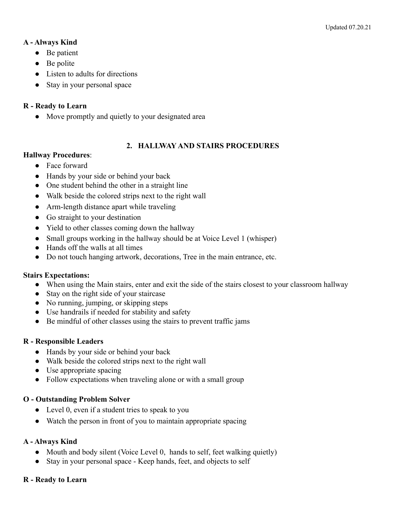## **A - Always Kind**

- Be patient
- $\bullet$  Be polite
- Listen to adults for directions
- Stay in your personal space

## **R - Ready to Learn**

• Move promptly and quietly to your designated area

## **2. HALLWAY AND STAIRS PROCEDURES**

### **Hallway Procedures**:

- Face forward
- Hands by your side or behind your back
- One student behind the other in a straight line
- Walk beside the colored strips next to the right wall
- Arm-length distance apart while traveling
- Go straight to your destination
- Yield to other classes coming down the hallway
- Small groups working in the hallway should be at Voice Level 1 (whisper)
- Hands off the walls at all times
- Do not touch hanging artwork, decorations, Tree in the main entrance, etc.

### **Stairs Expectations:**

- When using the Main stairs, enter and exit the side of the stairs closest to your classroom hallway
- Stay on the right side of your staircase
- No running, jumping, or skipping steps
- Use handrails if needed for stability and safety
- Be mindful of other classes using the stairs to prevent traffic jams

### **R - Responsible Leaders**

- Hands by your side or behind your back
- Walk beside the colored strips next to the right wall
- Use appropriate spacing
- Follow expectations when traveling alone or with a small group

### **O - Outstanding Problem Solver**

- Level 0, even if a student tries to speak to you
- Watch the person in front of you to maintain appropriate spacing

### **A - Always Kind**

- Mouth and body silent (Voice Level 0, hands to self, feet walking quietly)
- Stay in your personal space Keep hands, feet, and objects to self

### **R - Ready to Learn**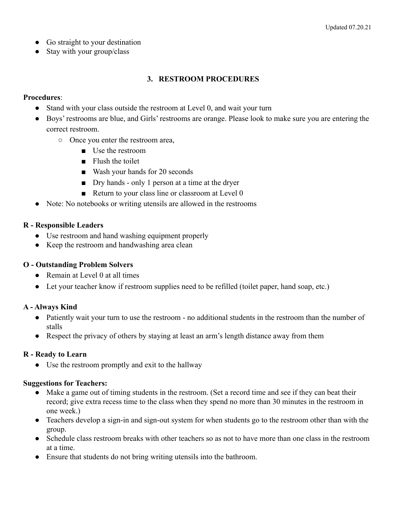- Go straight to your destination
- Stay with your group/class

## **3. RESTROOM PROCEDURES**

#### **Procedures**:

- Stand with your class outside the restroom at Level 0, and wait your turn
- Boys' restrooms are blue, and Girls' restrooms are orange. Please look to make sure you are entering the correct restroom.
	- Once you enter the restroom area,
		- Use the restroom
		- Flush the toilet
		- Wash your hands for 20 seconds
		- Dry hands only 1 person at a time at the dryer
		- Return to your class line or classroom at Level 0
- Note: No notebooks or writing utensils are allowed in the restrooms

### **R - Responsible Leaders**

- Use restroom and hand washing equipment properly
- Keep the restroom and handwashing area clean

### **O - Outstanding Problem Solvers**

- Remain at Level 0 at all times
- Let your teacher know if restroom supplies need to be refilled (toilet paper, hand soap, etc.)

### **A - Always Kind**

- Patiently wait your turn to use the restroom no additional students in the restroom than the number of stalls
- Respect the privacy of others by staying at least an arm's length distance away from them

### **R - Ready to Learn**

**●** Use the restroom promptly and exit to the hallway

### **Suggestions for Teachers:**

- Make a game out of timing students in the restroom. (Set a record time and see if they can beat their record; give extra recess time to the class when they spend no more than 30 minutes in the restroom in one week.)
- Teachers develop a sign-in and sign-out system for when students go to the restroom other than with the group.
- Schedule class restroom breaks with other teachers so as not to have more than one class in the restroom at a time.
- Ensure that students do not bring writing utensils into the bathroom.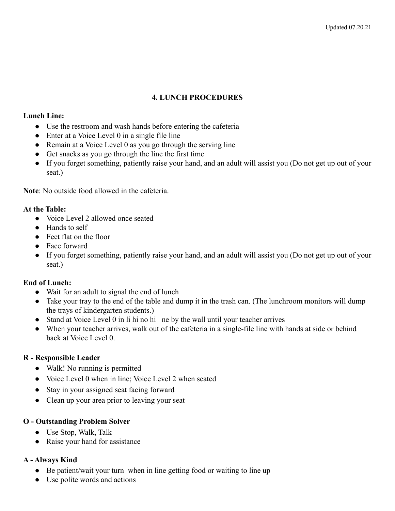## **4. LUNCH PROCEDURES**

#### **Lunch Line:**

- Use the restroom and wash hands before entering the cafeteria
- Enter at a Voice Level 0 in a single file line
- Remain at a Voice Level 0 as you go through the serving line
- Get snacks as you go through the line the first time
- If you forget something, patiently raise your hand, and an adult will assist you (Do not get up out of your seat.)

**Note**: No outside food allowed in the cafeteria.

### **At the Table:**

- Voice Level 2 allowed once seated
- Hands to self
- Feet flat on the floor
- Face forward
- If you forget something, patiently raise your hand, and an adult will assist you (Do not get up out of your seat.)

### **End of Lunch:**

- Wait for an adult to signal the end of lunch
- Take your tray to the end of the table and dump it in the trash can. (The lunchroom monitors will dump the trays of kindergarten students.)
- Stand at Voice Level 0 in li hi no hi ne by the wall until your teacher arrives
- When your teacher arrives, walk out of the cafeteria in a single-file line with hands at side or behind back at Voice Level 0.

### **R - Responsible Leader**

- Walk! No running is permitted
- Voice Level 0 when in line; Voice Level 2 when seated
- Stay in your assigned seat facing forward
- Clean up your area prior to leaving your seat

### **O - Outstanding Problem Solver**

- Use Stop, Walk, Talk
- Raise your hand for assistance

### **A - Always Kind**

- **●** Be patient/wait your turn when in line getting food or waiting to line up
- **●** Use polite words and actions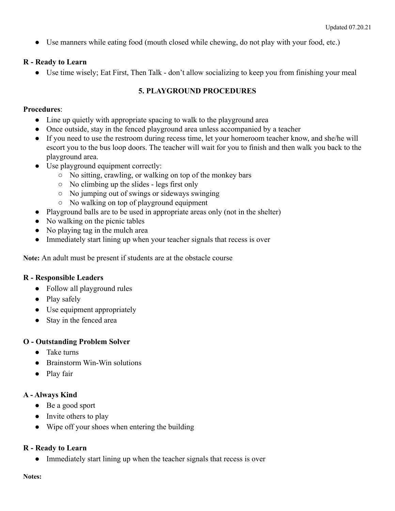**●** Use manners while eating food (mouth closed while chewing, do not play with your food, etc.)

# **R - Ready to Learn**

**●** Use time wisely; Eat First, Then Talk - don't allow socializing to keep you from finishing your meal

# **5. PLAYGROUND PROCEDURES**

# **Procedures**:

- Line up quietly with appropriate spacing to walk to the playground area
- Once outside, stay in the fenced playground area unless accompanied by a teacher
- If you need to use the restroom during recess time, let your homeroom teacher know, and she/he will escort you to the bus loop doors. The teacher will wait for you to finish and then walk you back to the playground area.
- Use playground equipment correctly:
	- No sitting, crawling, or walking on top of the monkey bars
	- No climbing up the slides legs first only
	- No jumping out of swings or sideways swinging
	- No walking on top of playground equipment
- Playground balls are to be used in appropriate areas only (not in the shelter)
- No walking on the picnic tables
- No playing tag in the mulch area
- Immediately start lining up when your teacher signals that recess is over

**Note:** An adult must be present if students are at the obstacle course

# **R - Responsible Leaders**

- Follow all playground rules
- Play safely
- Use equipment appropriately
- Stay in the fenced area

# **O - Outstanding Problem Solver**

- Take turns
- Brainstorm Win-Win solutions
- Play fair

# **A - Always Kind**

- Be a good sport
- Invite others to play
- Wipe off your shoes when entering the building

# **R - Ready to Learn**

• Immediately start lining up when the teacher signals that recess is over

**Notes:**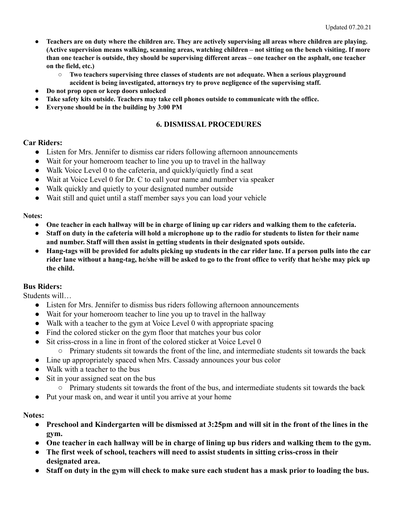- **● Teachers are on duty where the children are. They are actively supervising all areas where children are playing. (Active supervision means walking, scanning areas, watching children – not sitting on the bench visiting. If more than one teacher is outside, they should be supervising different areas – one teacher on the asphalt, one teacher on the field, etc.)**
	- **○ Two teachers supervising three classes of students are not adequate. When a serious playground accident is being investigated, attorneys try to prove negligence of the supervising staff.**
- **● Do not prop open or keep doors unlocked**
- **● Take safety kits outside. Teachers may take cell phones outside to communicate with the office.**
- **Everyone should be in the building by 3:00 PM**

#### **6. DISMISSAL PROCEDURES**

#### **Car Riders:**

- Listen for Mrs. Jennifer to dismiss car riders following afternoon announcements
- Wait for your homeroom teacher to line you up to travel in the hallway
- Walk Voice Level 0 to the cafeteria, and quickly/quietly find a seat
- Wait at Voice Level 0 for Dr. C to call your name and number via speaker
- Walk quickly and quietly to your designated number outside
- Wait still and quiet until a staff member says you can load your vehicle

#### **Notes:**

- One teacher in each hallway will be in charge of lining up car riders and walking them to the cafeteria.
- Staff on duty in the cafeteria will hold a microphone up to the radio for students to listen for their name **and number. Staff will then assist in getting students in their designated spots outside.**
- Hang-tags will be provided for adults picking up students in the car rider lane. If a person pulls into the car rider lane without a hang-tag, he/she will be asked to go to the front office to verify that he/she may pick up **the child.**

#### **Bus Riders:**

Students will…

- Listen for Mrs. Jennifer to dismiss bus riders following afternoon announcements
- Wait for your homeroom teacher to line you up to travel in the hallway
- Walk with a teacher to the gym at Voice Level 0 with appropriate spacing
- Find the colored sticker on the gym floor that matches your bus color
- Sit criss-cross in a line in front of the colored sticker at Voice Level 0
	- Primary students sit towards the front of the line, and intermediate students sit towards the back
- Line up appropriately spaced when Mrs. Cassady announces your bus color
- Walk with a teacher to the bus
- Sit in your assigned seat on the bus
	- Primary students sit towards the front of the bus, and intermediate students sit towards the back
- Put your mask on, and wear it until you arrive at your home

#### **Notes:**

- **● Preschool and Kindergarten will be dismissed at 3:25pm and will sit in the front of the lines in the gym.**
- **● One teacher in each hallway will be in charge of lining up bus riders and walking them to the gym.**
- **● The first week of school, teachers will need to assist students in sitting criss-cross in their designated area.**
- **● Staff on duty in the gym will check to make sure each student has a mask prior to loading the bus.**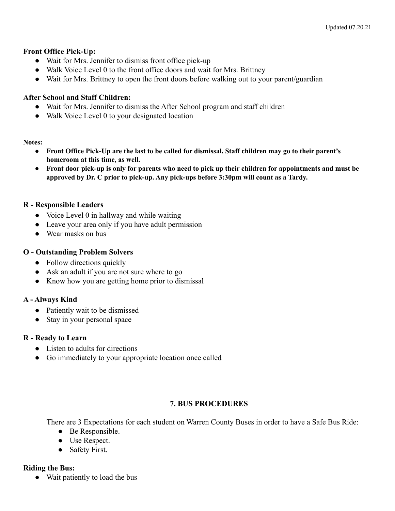### **Front Office Pick-Up:**

- Wait for Mrs. Jennifer to dismiss front office pick-up
- Walk Voice Level 0 to the front office doors and wait for Mrs. Brittney
- Wait for Mrs. Brittney to open the front doors before walking out to your parent/guardian

### **After School and Staff Children:**

- Wait for Mrs. Jennifer to dismiss the After School program and staff children
- Walk Voice Level 0 to your designated location

#### **Notes:**

- Front Office Pick-Up are the last to be called for dismissal. Staff children may go to their parent's **homeroom at this time, as well.**
- Front door pick-up is only for parents who need to pick up their children for appointments and must be **approved by Dr. C prior to pick-up. Any pick-ups before 3:30pm will count as a Tardy.**

### **R - Responsible Leaders**

- Voice Level 0 in hallway and while waiting
- Leave your area only if you have adult permission
- Wear masks on bus

### **O - Outstanding Problem Solvers**

- Follow directions quickly
- Ask an adult if you are not sure where to go
- Know how you are getting home prior to dismissal

### **A - Always Kind**

- Patiently wait to be dismissed
- Stay in your personal space

### **R - Ready to Learn**

- Listen to adults for directions
- Go immediately to your appropriate location once called

# **7. BUS PROCEDURES**

There are 3 Expectations for each student on Warren County Buses in order to have a Safe Bus Ride:

- Be Responsible.
- Use Respect.
- Safety First.

### **Riding the Bus:**

● Wait patiently to load the bus